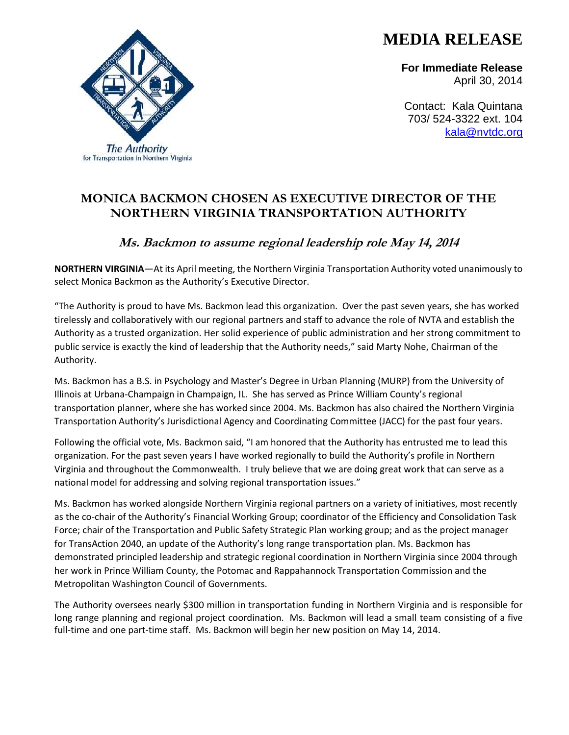## **MEDIA RELEASE**

**For Immediate Release** April 30, 2014

Contact: Kala Quintana 703/ 524-3322 ext. 104 [kala@nvtdc.org](mailto:kala@nvtdc.org)

## **MONICA BACKMON CHOSEN AS EXECUTIVE DIRECTOR OF THE NORTHERN VIRGINIA TRANSPORTATION AUTHORITY**

## **Ms. Backmon to assume regional leadership role May 14, 2014**

**NORTHERN VIRGINIA**—At its April meeting, the Northern Virginia Transportation Authority voted unanimously to select Monica Backmon as the Authority's Executive Director.

"The Authority is proud to have Ms. Backmon lead this organization. Over the past seven years, she has worked tirelessly and collaboratively with our regional partners and staff to advance the role of NVTA and establish the Authority as a trusted organization. Her solid experience of public administration and her strong commitment to public service is exactly the kind of leadership that the Authority needs," said Marty Nohe, Chairman of the Authority.

Ms. Backmon has a B.S. in Psychology and Master's Degree in Urban Planning (MURP) from the University of Illinois at Urbana-Champaign in Champaign, IL. She has served as Prince William County's regional transportation planner, where she has worked since 2004. Ms. Backmon has also chaired the Northern Virginia Transportation Authority's Jurisdictional Agency and Coordinating Committee (JACC) for the past four years.

Following the official vote, Ms. Backmon said, "I am honored that the Authority has entrusted me to lead this organization. For the past seven years I have worked regionally to build the Authority's profile in Northern Virginia and throughout the Commonwealth. I truly believe that we are doing great work that can serve as a national model for addressing and solving regional transportation issues."

Ms. Backmon has worked alongside Northern Virginia regional partners on a variety of initiatives, most recently as the co-chair of the Authority's Financial Working Group; coordinator of the Efficiency and Consolidation Task Force; chair of the Transportation and Public Safety Strategic Plan working group; and as the project manager for TransAction 2040, an update of the Authority's long range transportation plan. Ms. Backmon has demonstrated principled leadership and strategic regional coordination in Northern Virginia since 2004 through her work in Prince William County, the Potomac and Rappahannock Transportation Commission and the Metropolitan Washington Council of Governments.

The Authority oversees nearly \$300 million in transportation funding in Northern Virginia and is responsible for long range planning and regional project coordination. Ms. Backmon will lead a small team consisting of a five full-time and one part-time staff. Ms. Backmon will begin her new position on May 14, 2014.